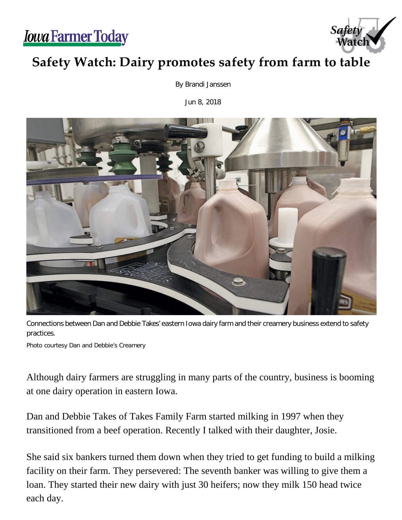*<u>Iowa Farmer Today</u>* 



## **Safety Watch: Dairy promotes safety from farm to table**

By Brandi Janssen

Jun 8, 2018



Connections between Dan and Debbie Takes' eastern Iowa dairy farm and their creamery business extend to safety practices.

Photo courtesy Dan and Debbie's Creamery

Although dairy farmers are struggling in many parts of the country, business is booming at one dairy operation in eastern Iowa.

Dan and Debbie Takes of Takes Family Farm started milking in 1997 when they transitioned from a beef operation. Recently I talked with their daughter, Josie.

She said six bankers turned them down when they tried to get funding to build a milking facility on their farm. They persevered: The seventh banker was willing to give them a loan. They started their new dairy with just 30 heifers; now they milk 150 head twice each day.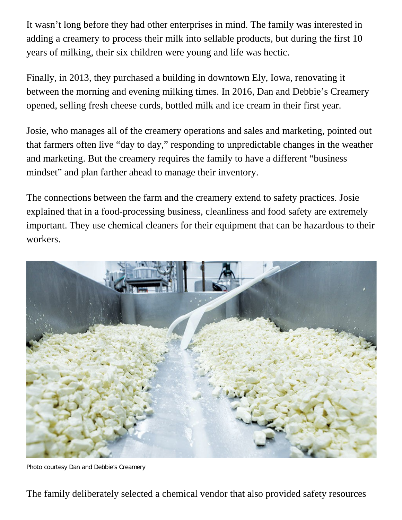It wasn't long before they had other enterprises in mind. The family was interested in adding a creamery to process their milk into sellable products, but during the first 10 years of milking, their six children were young and life was hectic.

Finally, in 2013, they purchased a building in downtown Ely, Iowa, renovating it between the morning and evening milking times. In 2016, Dan and Debbie's Creamery opened, selling fresh cheese curds, bottled milk and ice cream in their first year.

Josie, who manages all of the creamery operations and sales and marketing, pointed out that farmers often live "day to day," responding to unpredictable changes in the weather and marketing. But the creamery requires the family to have a different "business mindset" and plan farther ahead to manage their inventory.

The connections between the farm and the creamery extend to safety practices. Josie explained that in a food-processing business, cleanliness and food safety are extremely important. They use chemical cleaners for their equipment that can be hazardous to their workers.



Photo courtesy Dan and Debbie's Creamery

The family deliberately selected a chemical vendor that also provided safety resources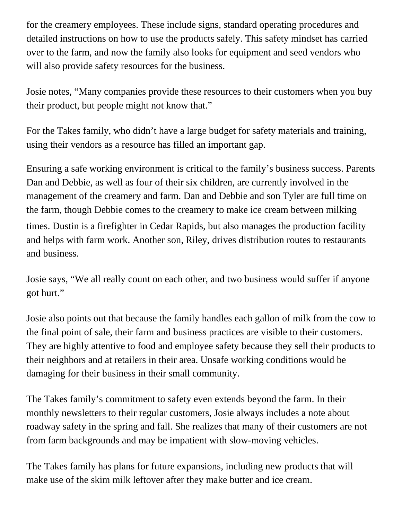for the creamery employees. These include signs, standard operating procedures and detailed instructions on how to use the products safely. This safety mindset has carried over to the farm, and now the family also looks for equipment and seed vendors who will also provide safety resources for the business.

Josie notes, "Many companies provide these resources to their customers when you buy their product, but people might not know that."

For the Takes family, who didn't have a large budget for safety materials and training, using their vendors as a resource has filled an important gap.

Ensuring a safe working environment is critical to the family's business success. Parents Dan and Debbie, as well as four of their six children, are currently involved in the management of the creamery and farm. Dan and Debbie and son Tyler are full time on the farm, though Debbie comes to the creamery to make ice cream between milking times. Dustin is a firefighter in Cedar Rapids, but also manages the production facility and helps with farm work. Another son, Riley, drives distribution routes to restaurants and business.

Josie says, "We all really count on each other, and two business would suffer if anyone got hurt."

Josie also points out that because the family handles each gallon of milk from the cow to the final point of sale, their farm and business practices are visible to their customers. They are highly attentive to food and employee safety because they sell their products to their neighbors and at retailers in their area. Unsafe working conditions would be damaging for their business in their small community.

The Takes family's commitment to safety even extends beyond the farm. In their monthly newsletters to their regular customers, Josie always includes a note about roadway safety in the spring and fall. She realizes that many of their customers are not from farm backgrounds and may be impatient with slow-moving vehicles.

The Takes family has plans for future expansions, including new products that will make use of the skim milk leftover after they make butter and ice cream.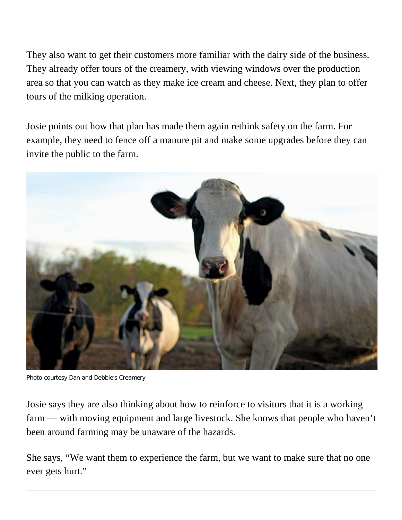They also want to get their customers more familiar with the dairy side of the business. They already offer tours of the creamery, with viewing windows over the production area so that you can watch as they make ice cream and cheese. Next, they plan to offer tours of the milking operation.

Josie points out how that plan has made them again rethink safety on the farm. For example, they need to fence off a manure pit and make some upgrades before they can invite the public to the farm.



Photo courtesy Dan and Debbie's Creamery

Josie says they are also thinking about how to reinforce to visitors that it is a working farm — with moving equipment and large livestock. She knows that people who haven't been around farming may be unaware of the hazards.

She says, "We want them to experience the farm, but we want to make sure that no one ever gets hurt."